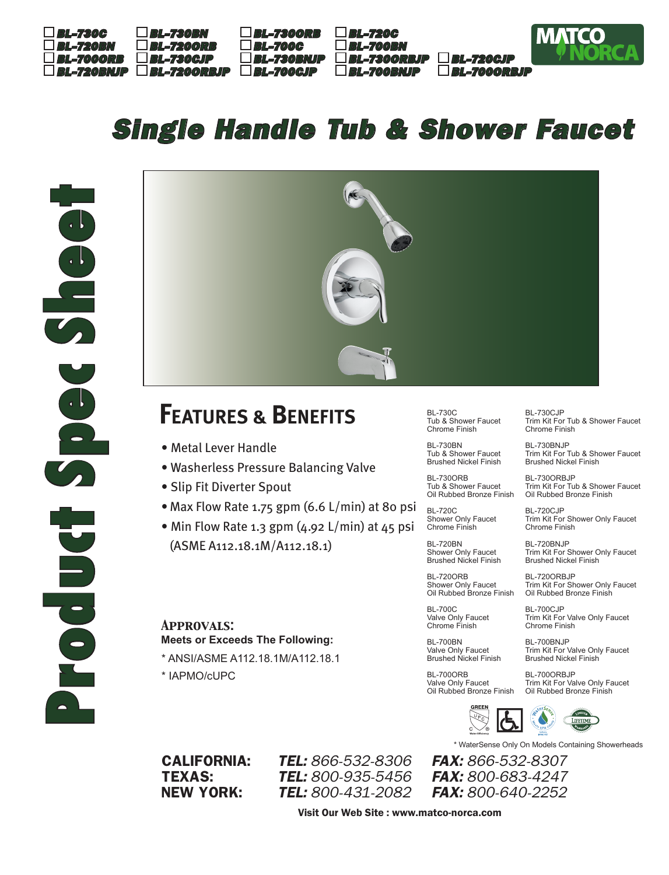

## *Single Handle Tub & Shower Faucet*



## **FEATURES & BENEFITS**

- Metal Lever Handle
- Washerless Pressure Balancing Valve
- Slip Fit Diverter Spout
- Max Flow Rate 1.75 gpm (6.6 L/min) at 80 psi
- Min Flow Rate 1.3 gpm (4.92 L/min) at 45 psi (ASME A112.18.1M/A112.18.1)

*Approvals:* **Meets or Exceeds The Following:**

- \* ANSI/ASME A112.18.1M/A112.18.1
- \* IAPMO/cUPC

BL-730C Tub & Shower Faucet Chrome Finish

BL-730BN Tub & Shower Faucet Brushed Nickel Finish

BL-730ORB Tub & Shower Faucet Oil Rubbed Bronze Finish

BL-720C Shower Only Faucet Chrome Finish

BL-720BN Shower Only Faucet Brushed Nickel Finish

BL-700C

BL-720ORB Shower Only Faucet Oil Rubbed Bronze Finish

Valve Only Faucet BL-700CJP

Chrome Finish BL-700BN Valve Only Faucet Brushed Nickel Finish

BL-700ORB Valve Only Faucet Oil Rubbed Bronze Finish BL-730CJP Trim Kit For Tub & Shower Faucet Chrome Finish

BL-730BNJP Trim Kit For Tub & Shower Faucet Brushed Nickel Finish

BL-730ORBJP Trim Kit For Tub & Shower Faucet Oil Rubbed Bronze Finish

BL-720CJP Trim Kit For Shower Only Faucet Chrome Finish

BL-720BNJP Trim Kit For Shower Only Faucet Brushed Nickel Finish

BL-720ORBJP Trim Kit For Shower Only Faucet Oil Rubbed Bronze Finish

Trim Kit For Valve Only Faucet Chrome Finish

BL-700BNJP Trim Kit For Valve Only Faucet Brushed Nickel Finish

BL-700ORBJP Trim Kit For Valve Only Faucet Oil Rubbed Bronze Finish



\* WaterSense Only On Models Containing Showerheads

CALIFORNIA: *TEL: 866-532-8306 FAX: 866-532-8307* TEXAS: *TEL: 800-935-5456 FAX: 800-683-4247* NEW YORK: *TEL: 800-431-2082 FAX: 800-640-2252*

Visit Our Web Site : www.matco-norca.com